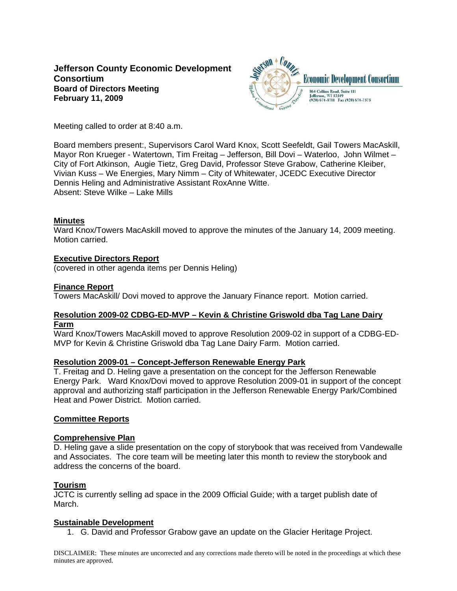# **Jefferson County Economic Development Consortium Board of Directors Meeting February 11, 2009**



Meeting called to order at 8:40 a.m.

Board members present:, Supervisors Carol Ward Knox, Scott Seefeldt, Gail Towers MacAskill, Mayor Ron Krueger - Watertown, Tim Freitag – Jefferson, Bill Dovi – Waterloo, John Wilmet – City of Fort Atkinson, Augie Tietz, Greg David, Professor Steve Grabow, Catherine Kleiber, Vivian Kuss – We Energies, Mary Nimm – City of Whitewater, JCEDC Executive Director Dennis Heling and Administrative Assistant RoxAnne Witte. Absent: Steve Wilke – Lake Mills

### **Minutes**

Ward Knox/Towers MacAskill moved to approve the minutes of the January 14, 2009 meeting. Motion carried.

## **Executive Directors Report**

(covered in other agenda items per Dennis Heling)

### **Finance Report**

Towers MacAskill/ Dovi moved to approve the January Finance report. Motion carried.

### **Resolution 2009-02 CDBG-ED-MVP – Kevin & Christine Griswold dba Tag Lane Dairy Farm**

Ward Knox/Towers MacAskill moved to approve Resolution 2009-02 in support of a CDBG-ED-MVP for Kevin & Christine Griswold dba Tag Lane Dairy Farm. Motion carried.

### **Resolution 2009-01 – Concept-Jefferson Renewable Energy Park**

T. Freitag and D. Heling gave a presentation on the concept for the Jefferson Renewable Energy Park. Ward Knox/Dovi moved to approve Resolution 2009-01 in support of the concept approval and authorizing staff participation in the Jefferson Renewable Energy Park/Combined Heat and Power District. Motion carried.

### **Committee Reports**

### **Comprehensive Plan**

D. Heling gave a slide presentation on the copy of storybook that was received from Vandewalle and Associates. The core team will be meeting later this month to review the storybook and address the concerns of the board.

## **Tourism**

JCTC is currently selling ad space in the 2009 Official Guide; with a target publish date of March.

### **Sustainable Development**

1. G. David and Professor Grabow gave an update on the Glacier Heritage Project.

DISCLAIMER: These minutes are uncorrected and any corrections made thereto will be noted in the proceedings at which these minutes are approved.